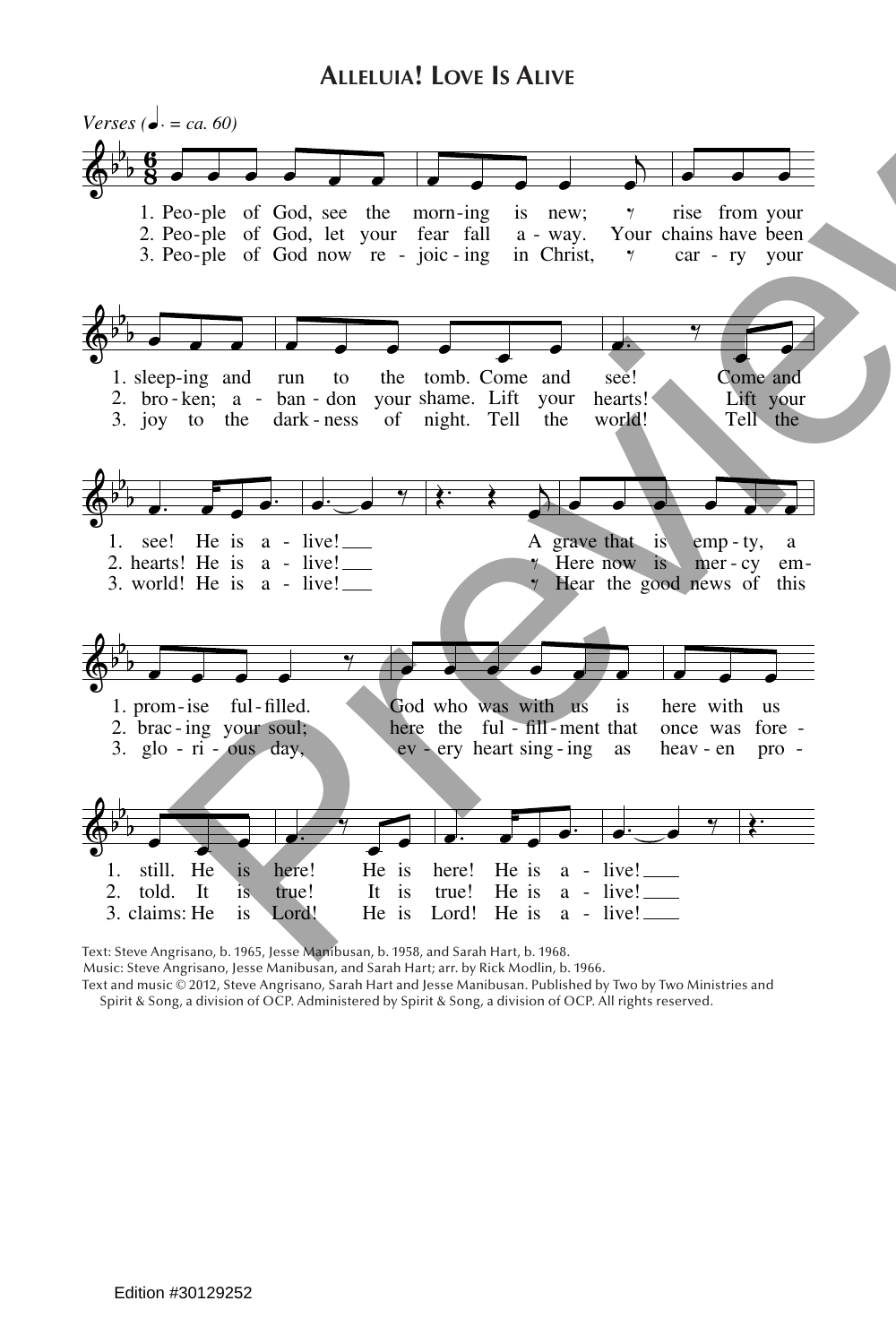## **Alleluia! Love Is Alive**



Text: Steve Angrisano, b. 1965, Jesse Manibusan, b. 1958, and Sarah Hart, b. 1968.

Music: Steve Angrisano, Jesse Manibusan, and Sarah Hart; arr. by Rick Modlin, b. 1966.

Text and music © 2012, Steve Angrisano, Sarah Hart and Jesse Manibusan. Published by Two by Two Ministries and Spirit & Song, a division of OCP. Administered by Spirit & Song, a division of OCP. All rights reserved.